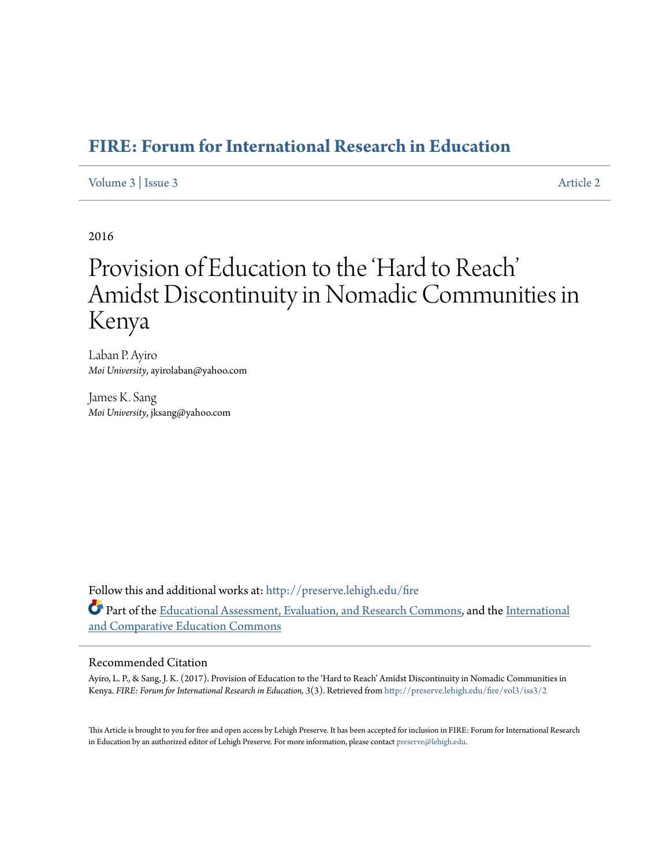# **[FIRE: Forum for International Research in Education](http://preserve.lehigh.edu/fire?utm_source=preserve.lehigh.edu%2Ffire%2Fvol3%2Fiss3%2F2&utm_medium=PDF&utm_campaign=PDFCoverPages)**

# [Volume 3](http://preserve.lehigh.edu/fire/vol3?utm_source=preserve.lehigh.edu%2Ffire%2Fvol3%2Fiss3%2F2&utm_medium=PDF&utm_campaign=PDFCoverPages) | [Issue 3](http://preserve.lehigh.edu/fire/vol3/iss3?utm_source=preserve.lehigh.edu%2Ffire%2Fvol3%2Fiss3%2F2&utm_medium=PDF&utm_campaign=PDFCoverPages) [Article 2](http://preserve.lehigh.edu/fire/vol3/iss3/2?utm_source=preserve.lehigh.edu%2Ffire%2Fvol3%2Fiss3%2F2&utm_medium=PDF&utm_campaign=PDFCoverPages)

2016

# Provision of Education to the 'Hard to Reach' Amidst Discontinuity in Nomadic Communities in Kenya

Laban P. Ayiro *Moi University*, ayirolaban@yahoo.com

James K. Sang *Moi University*, jksang@yahoo.com

Follow this and additional works at: [http://preserve.lehigh.edu/fire](http://preserve.lehigh.edu/fire?utm_source=preserve.lehigh.edu%2Ffire%2Fvol3%2Fiss3%2F2&utm_medium=PDF&utm_campaign=PDFCoverPages) Part of the [Educational Assessment, Evaluation, and Research Commons,](http://network.bepress.com/hgg/discipline/796?utm_source=preserve.lehigh.edu%2Ffire%2Fvol3%2Fiss3%2F2&utm_medium=PDF&utm_campaign=PDFCoverPages) and the [International](http://network.bepress.com/hgg/discipline/797?utm_source=preserve.lehigh.edu%2Ffire%2Fvol3%2Fiss3%2F2&utm_medium=PDF&utm_campaign=PDFCoverPages) [and Comparative Education Commons](http://network.bepress.com/hgg/discipline/797?utm_source=preserve.lehigh.edu%2Ffire%2Fvol3%2Fiss3%2F2&utm_medium=PDF&utm_campaign=PDFCoverPages)

#### Recommended Citation

Ayiro, L. P., & Sang, J. K. (2017). Provision of Education to the 'Hard to Reach' Amidst Discontinuity in Nomadic Communities in Kenya. *FIRE: Forum for International Research in Education, 3*(3). Retrieved from [http://preserve.lehigh.edu/fire/vol3/iss3/2](http://preserve.lehigh.edu/fire/vol3/iss3/2?utm_source=preserve.lehigh.edu%2Ffire%2Fvol3%2Fiss3%2F2&utm_medium=PDF&utm_campaign=PDFCoverPages)

This Article is brought to you for free and open access by Lehigh Preserve. It has been accepted for inclusion in FIRE: Forum for International Research in Education by an authorized editor of Lehigh Preserve. For more information, please contact [preserve@lehigh.edu.](mailto:preserve@lehigh.edu)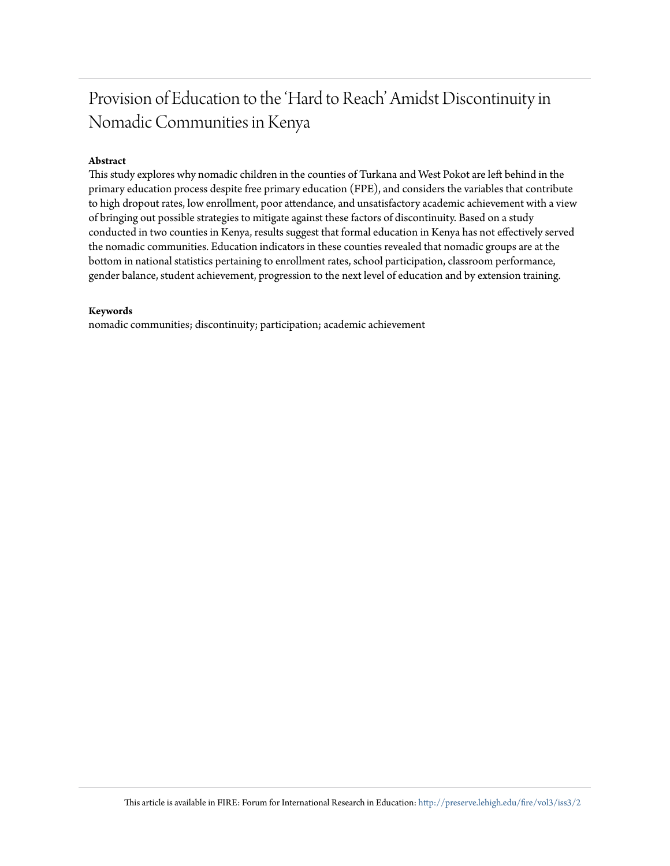# Provision of Education to the 'Hard to Reach' Amidst Discontinuity in Nomadic Communities in Kenya

#### **Abstract**

This study explores why nomadic children in the counties of Turkana and West Pokot are left behind in the primary education process despite free primary education (FPE), and considers the variables that contribute to high dropout rates, low enrollment, poor attendance, and unsatisfactory academic achievement with a view of bringing out possible strategies to mitigate against these factors of discontinuity. Based on a study conducted in two counties in Kenya, results suggest that formal education in Kenya has not effectively served the nomadic communities. Education indicators in these counties revealed that nomadic groups are at the bottom in national statistics pertaining to enrollment rates, school participation, classroom performance, gender balance, student achievement, progression to the next level of education and by extension training.

#### **Keywords**

nomadic communities; discontinuity; participation; academic achievement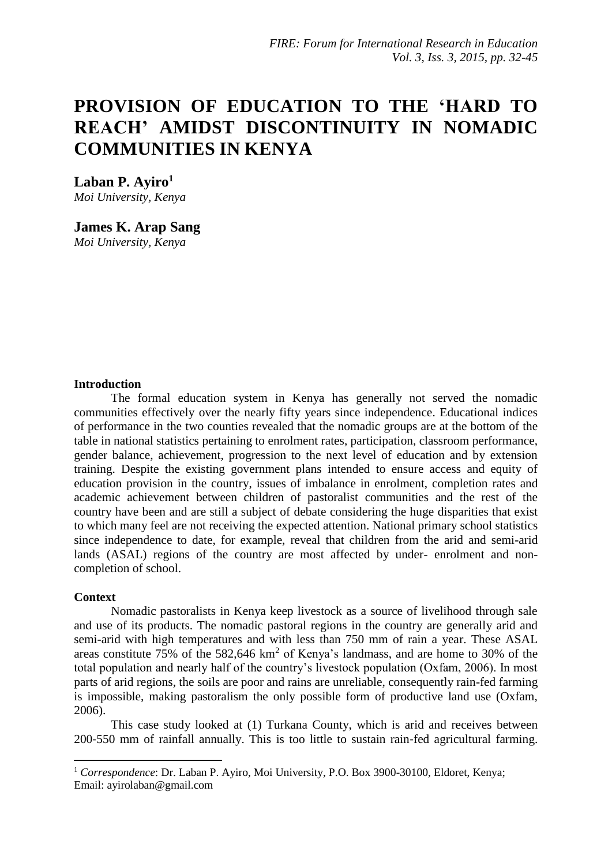# **PROVISION OF EDUCATION TO THE 'HARD TO REACH' AMIDST DISCONTINUITY IN NOMADIC COMMUNITIES IN KENYA**

**Laban P. Ayiro<sup>1</sup>** *Moi University, Kenya*

**[James K. Arap Sang](javascript:popUp()** *Moi University, Kenya*

#### **Introduction**

The formal education system in Kenya has generally not served the nomadic communities effectively over the nearly fifty years since independence. Educational indices of performance in the two counties revealed that the nomadic groups are at the bottom of the table in national statistics pertaining to enrolment rates, participation, classroom performance, gender balance, achievement, progression to the next level of education and by extension training. Despite the existing government plans intended to ensure access and equity of education provision in the country, issues of imbalance in enrolment, completion rates and academic achievement between children of pastoralist communities and the rest of the country have been and are still a subject of debate considering the huge disparities that exist to which many feel are not receiving the expected attention. National primary school statistics since independence to date, for example, reveal that children from the arid and semi-arid lands (ASAL) regions of the country are most affected by under- enrolment and noncompletion of school.

#### **Context**

**.** 

Nomadic pastoralists in Kenya keep livestock as a source of livelihood through sale and use of its products. The nomadic pastoral regions in the country are generally arid and semi-arid with high temperatures and with less than 750 mm of rain a year. These ASAL areas constitute  $75\%$  of the  $582,646 \text{ km}^2$  of Kenya's landmass, and are home to 30% of the total population and nearly half of the country's livestock population (Oxfam, 2006). In most parts of arid regions, the soils are poor and rains are unreliable, consequently rain-fed farming is impossible, making pastoralism the only possible form of productive land use (Oxfam, 2006).

This case study looked at (1) Turkana County, which is arid and receives between 200‐550 mm of rainfall annually. This is too little to sustain rain‐fed agricultural farming.

<sup>1</sup> *Correspondence*: Dr. Laban P. Ayiro, Moi University, P.O. Box 3900-30100, Eldoret, Kenya; Email: ayirolaban@gmail.com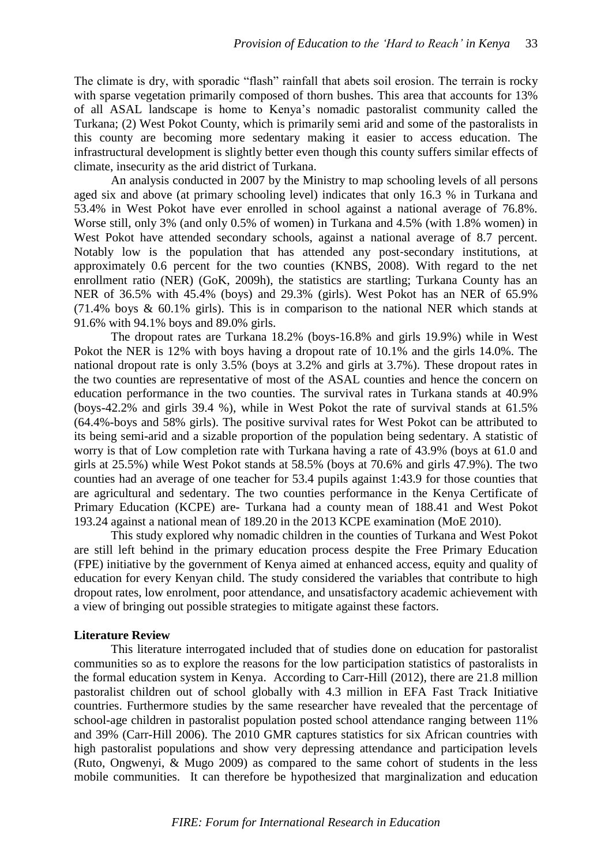The climate is dry, with sporadic "flash" rainfall that abets soil erosion. The terrain is rocky with sparse vegetation primarily composed of thorn bushes. This area that accounts for 13% of all ASAL landscape is home to Kenya's nomadic pastoralist community called the Turkana; (2) West Pokot County, which is primarily semi arid and some of the pastoralists in this county are becoming more sedentary making it easier to access education. The infrastructural development is slightly better even though this county suffers similar effects of climate, insecurity as the arid district of Turkana.

An analysis conducted in 2007 by the Ministry to map schooling levels of all persons aged six and above (at primary schooling level) indicates that only 16.3 % in Turkana and 53.4% in West Pokot have ever enrolled in school against a national average of 76.8%. Worse still, only 3% (and only 0.5% of women) in Turkana and 4.5% (with 1.8% women) in West Pokot have attended secondary schools, against a national average of 8.7 percent. Notably low is the population that has attended any post‐secondary institutions, at approximately 0.6 percent for the two counties (KNBS, 2008). With regard to the net enrollment ratio (NER) (GoK, 2009h), the statistics are startling; Turkana County has an NER of 36.5% with 45.4% (boys) and 29.3% (girls). West Pokot has an NER of 65.9% (71.4% boys & 60.1% girls). This is in comparison to the national NER which stands at 91.6% with 94.1% boys and 89.0% girls.

The dropout rates are Turkana 18.2% (boys-16.8% and girls 19.9%) while in West Pokot the NER is 12% with boys having a dropout rate of 10.1% and the girls 14.0%. The national dropout rate is only 3.5% (boys at 3.2% and girls at 3.7%). These dropout rates in the two counties are representative of most of the ASAL counties and hence the concern on education performance in the two counties. The survival rates in Turkana stands at 40.9% (boys-42.2% and girls 39.4 %), while in West Pokot the rate of survival stands at 61.5% (64.4%-boys and 58% girls). The positive survival rates for West Pokot can be attributed to its being semi-arid and a sizable proportion of the population being sedentary. A statistic of worry is that of Low completion rate with Turkana having a rate of 43.9% (boys at 61.0 and girls at 25.5%) while West Pokot stands at 58.5% (boys at 70.6% and girls 47.9%). The two counties had an average of one teacher for 53.4 pupils against 1:43.9 for those counties that are agricultural and sedentary. The two counties performance in the Kenya Certificate of Primary Education (KCPE) are- Turkana had a county mean of 188.41 and West Pokot 193.24 against a national mean of 189.20 in the 2013 KCPE examination (MoE 2010).

This study explored why nomadic children in the counties of Turkana and West Pokot are still left behind in the primary education process despite the Free Primary Education (FPE) initiative by the government of Kenya aimed at enhanced access, equity and quality of education for every Kenyan child. The study considered the variables that contribute to high dropout rates, low enrolment, poor attendance, and unsatisfactory academic achievement with a view of bringing out possible strategies to mitigate against these factors.

# **Literature Review**

This literature interrogated included that of studies done on education for pastoralist communities so as to explore the reasons for the low participation statistics of pastoralists in the formal education system in Kenya. According to Carr-Hill (2012), there are 21.8 million pastoralist children out of school globally with 4.3 million in EFA Fast Track Initiative countries. Furthermore studies by the same researcher have revealed that the percentage of school-age children in pastoralist population posted school attendance ranging between 11% and 39% (Carr-Hill 2006). The 2010 GMR captures statistics for six African countries with high pastoralist populations and show very depressing attendance and participation levels (Ruto, Ongwenyi, & Mugo 2009) as compared to the same cohort of students in the less mobile communities. It can therefore be hypothesized that marginalization and education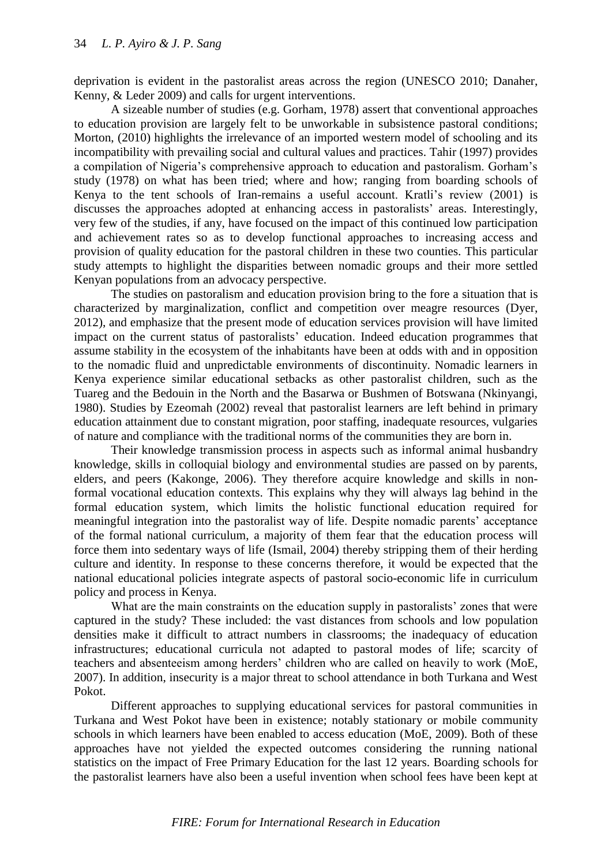deprivation is evident in the pastoralist areas across the region (UNESCO 2010; Danaher, Kenny, & Leder 2009) and calls for urgent interventions.

A sizeable number of studies (e.g. Gorham, 1978) assert that conventional approaches to education provision are largely felt to be unworkable in subsistence pastoral conditions; Morton, (2010) highlights the irrelevance of an imported western model of schooling and its incompatibility with prevailing social and cultural values and practices. Tahir (1997) provides a compilation of Nigeria's comprehensive approach to education and pastoralism. Gorham's study (1978) on what has been tried; where and how; ranging from boarding schools of Kenya to the tent schools of Iran-remains a useful account. Kratli's review (2001) is discusses the approaches adopted at enhancing access in pastoralists' areas. Interestingly, very few of the studies, if any, have focused on the impact of this continued low participation and achievement rates so as to develop functional approaches to increasing access and provision of quality education for the pastoral children in these two counties. This particular study attempts to highlight the disparities between nomadic groups and their more settled Kenyan populations from an advocacy perspective.

The studies on pastoralism and education provision bring to the fore a situation that is characterized by marginalization, conflict and competition over meagre resources (Dyer, 2012), and emphasize that the present mode of education services provision will have limited impact on the current status of pastoralists' education. Indeed education programmes that assume stability in the ecosystem of the inhabitants have been at odds with and in opposition to the nomadic fluid and unpredictable environments of discontinuity. Nomadic learners in Kenya experience similar educational setbacks as other pastoralist children, such as the Tuareg and the Bedouin in the North and the Basarwa or Bushmen of Botswana (Nkinyangi, 1980). Studies by Ezeomah (2002) reveal that pastoralist learners are left behind in primary education attainment due to constant migration, poor staffing, inadequate resources, vulgaries of nature and compliance with the traditional norms of the communities they are born in.

Their knowledge transmission process in aspects such as informal animal husbandry knowledge, skills in colloquial biology and environmental studies are passed on by parents, elders, and peers (Kakonge, 2006). They therefore acquire knowledge and skills in nonformal vocational education contexts. This explains why they will always lag behind in the formal education system, which limits the holistic functional education required for meaningful integration into the pastoralist way of life. Despite nomadic parents' acceptance of the formal national curriculum, a majority of them fear that the education process will force them into sedentary ways of life (Ismail, 2004) thereby stripping them of their herding culture and identity. In response to these concerns therefore, it would be expected that the national educational policies integrate aspects of pastoral socio-economic life in curriculum policy and process in Kenya.

What are the main constraints on the education supply in pastoralists' zones that were captured in the study? These included: the vast distances from schools and low population densities make it difficult to attract numbers in classrooms; the inadequacy of education infrastructures; educational curricula not adapted to pastoral modes of life; scarcity of teachers and absenteeism among herders' children who are called on heavily to work (MoE, 2007). In addition, insecurity is a major threat to school attendance in both Turkana and West Pokot.

Different approaches to supplying educational services for pastoral communities in Turkana and West Pokot have been in existence; notably stationary or mobile community schools in which learners have been enabled to access education (MoE, 2009). Both of these approaches have not yielded the expected outcomes considering the running national statistics on the impact of Free Primary Education for the last 12 years. Boarding schools for the pastoralist learners have also been a useful invention when school fees have been kept at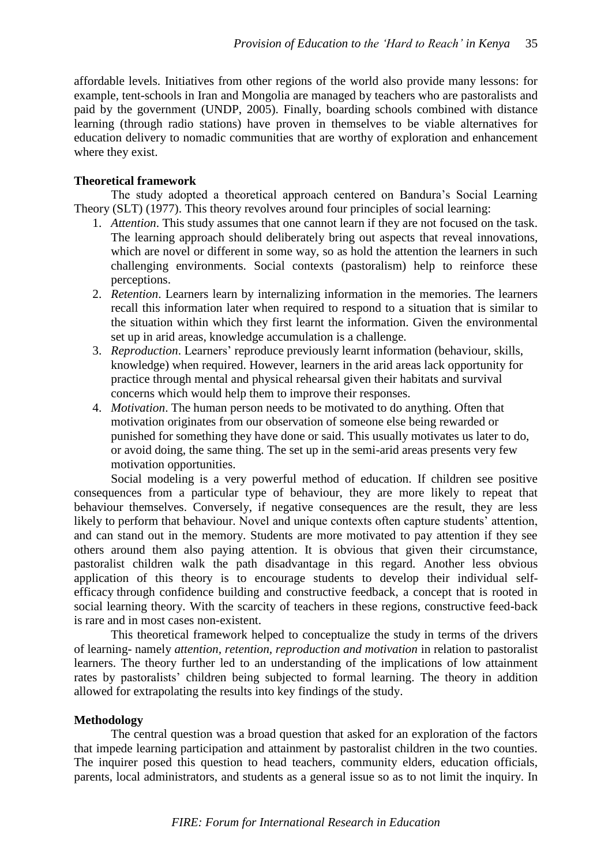affordable levels. Initiatives from other regions of the world also provide many lessons: for example, tent-schools in Iran and Mongolia are managed by teachers who are pastoralists and paid by the government (UNDP, 2005). Finally, boarding schools combined with distance learning (through radio stations) have proven in themselves to be viable alternatives for education delivery to nomadic communities that are worthy of exploration and enhancement where they exist.

# **Theoretical framework**

The study adopted a theoretical approach centered on Bandura's Social Learning Theory (SLT) (1977). This theory revolves around four principles of social learning:

- 1. *Attention*. This study assumes that one cannot learn if they are not focused on the task. The learning approach should deliberately bring out aspects that reveal innovations, which are novel or different in some way, so as hold the attention the learners in such challenging environments. Social contexts (pastoralism) help to reinforce these perceptions.
- 2. *Retention*. Learners learn by internalizing information in the memories. The learners recall this information later when required to respond to a situation that is similar to the situation within which they first learnt the information. Given the environmental set up in arid areas, knowledge accumulation is a challenge.
- 3. *Reproduction*. Learners' reproduce previously learnt information (behaviour, skills, knowledge) when required. However, learners in the arid areas lack opportunity for practice through mental and physical rehearsal given their habitats and survival concerns which would help them to improve their responses.
- 4. *Motivation*. The human person needs to be motivated to do anything. Often that motivation originates from our observation of someone else being rewarded or punished for something they have done or said. This usually motivates us later to do, or avoid doing, the same thing. The set up in the semi-arid areas presents very few motivation opportunities.

Social modeling is a very powerful method of education. If children see positive consequences from a particular type of behaviour, they are more likely to repeat that behaviour themselves. Conversely, if negative consequences are the result, they are less likely to perform that behaviour. Novel and unique contexts often capture students' attention, and can stand out in the memory. Students are more motivated to pay attention if they see others around them also paying attention. It is obvious that given their circumstance, pastoralist children walk the path disadvantage in this regard. Another less obvious application of this theory is to encourage students to develop their individual [self](http://psychology.about.com/od/theoriesofpersonality/a/self_efficacy.htm)[efficacy](http://psychology.about.com/od/theoriesofpersonality/a/self_efficacy.htm) through confidence building and constructive feedback, a concept that is rooted in social learning theory. With the scarcity of teachers in these regions, constructive feed-back is rare and in most cases non-existent.

This theoretical framework helped to conceptualize the study in terms of the drivers of learning- namely *attention, retention, reproduction and motivation* in relation to pastoralist learners. The theory further led to an understanding of the implications of low attainment rates by pastoralists' children being subjected to formal learning. The theory in addition allowed for extrapolating the results into key findings of the study.

# **Methodology**

The central question was a broad question that asked for an exploration of the factors that impede learning participation and attainment by pastoralist children in the two counties. The inquirer posed this question to head teachers, community elders, education officials, parents, local administrators, and students as a general issue so as to not limit the inquiry. In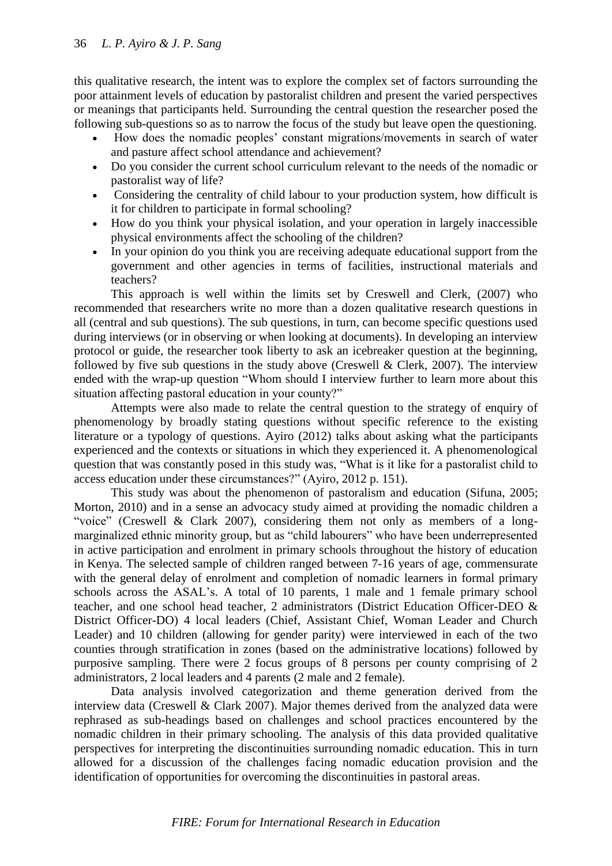this qualitative research, the intent was to explore the complex set of factors surrounding the poor attainment levels of education by pastoralist children and present the varied perspectives or meanings that participants held. Surrounding the central question the researcher posed the following sub-questions so as to narrow the focus of the study but leave open the questioning.

- How does the nomadic peoples' constant migrations/movements in search of water and pasture affect school attendance and achievement?
- Do you consider the current school curriculum relevant to the needs of the nomadic or pastoralist way of life?
- Considering the centrality of child labour to your production system, how difficult is it for children to participate in formal schooling?
- How do you think your physical isolation, and your operation in largely inaccessible physical environments affect the schooling of the children?
- In your opinion do you think you are receiving adequate educational support from the government and other agencies in terms of facilities, instructional materials and teachers?

This approach is well within the limits set by Creswell and Clerk, (2007) who recommended that researchers write no more than a dozen qualitative research questions in all (central and sub questions). The sub questions, in turn, can become specific questions used during interviews (or in observing or when looking at documents). In developing an interview protocol or guide, the researcher took liberty to ask an icebreaker question at the beginning, followed by five sub questions in the study above (Creswell  $\&$  Clerk, 2007). The interview ended with the wrap-up question "Whom should I interview further to learn more about this situation affecting pastoral education in your county?"

Attempts were also made to relate the central question to the strategy of enquiry of phenomenology by broadly stating questions without specific reference to the existing literature or a typology of questions. Ayiro (2012) talks about asking what the participants experienced and the contexts or situations in which they experienced it. A phenomenological question that was constantly posed in this study was, "What is it like for a pastoralist child to access education under these circumstances?" (Ayiro, 2012 p. 151).

This study was about the phenomenon of pastoralism and education (Sifuna, 2005; Morton, 2010) and in a sense an advocacy study aimed at providing the nomadic children a "voice" (Creswell & Clark 2007), considering them not only as members of a longmarginalized ethnic minority group, but as "child labourers" who have been underrepresented in active participation and enrolment in primary schools throughout the history of education in Kenya. The selected sample of children ranged between 7-16 years of age, commensurate with the general delay of enrolment and completion of nomadic learners in formal primary schools across the ASAL's. A total of 10 parents, 1 male and 1 female primary school teacher, and one school head teacher, 2 administrators (District Education Officer-DEO & District Officer-DO) 4 local leaders (Chief, Assistant Chief, Woman Leader and Church Leader) and 10 children (allowing for gender parity) were interviewed in each of the two counties through stratification in zones (based on the administrative locations) followed by purposive sampling. There were 2 focus groups of 8 persons per county comprising of 2 administrators, 2 local leaders and 4 parents (2 male and 2 female).

Data analysis involved categorization and theme generation derived from the interview data (Creswell & Clark 2007). Major themes derived from the analyzed data were rephrased as sub-headings based on challenges and school practices encountered by the nomadic children in their primary schooling. The analysis of this data provided qualitative perspectives for interpreting the discontinuities surrounding nomadic education. This in turn allowed for a discussion of the challenges facing nomadic education provision and the identification of opportunities for overcoming the discontinuities in pastoral areas.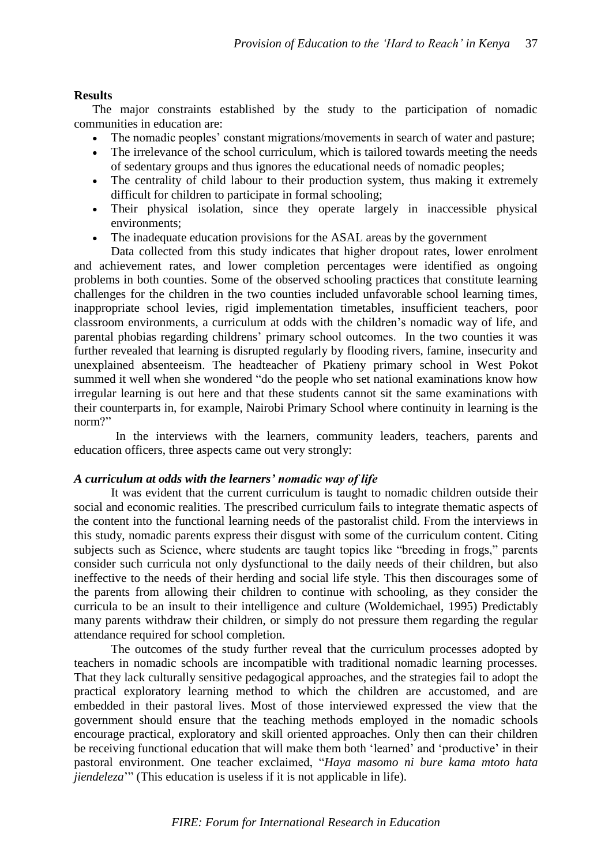### **Results**

The major constraints established by the study to the participation of nomadic communities in education are:

- The nomadic peoples' constant migrations/movements in search of water and pasture;
- The irrelevance of the school curriculum, which is tailored towards meeting the needs of sedentary groups and thus ignores the educational needs of nomadic peoples;
- The centrality of child labour to their production system, thus making it extremely difficult for children to participate in formal schooling;
- Their physical isolation, since they operate largely in inaccessible physical environments;
- The inadequate education provisions for the ASAL areas by the government

Data collected from this study indicates that higher dropout rates, lower enrolment and achievement rates, and lower completion percentages were identified as ongoing problems in both counties. Some of the observed schooling practices that constitute learning challenges for the children in the two counties included unfavorable school learning times, inappropriate school levies, rigid implementation timetables, insufficient teachers, poor classroom environments, a curriculum at odds with the children's nomadic way of life, and parental phobias regarding childrens' primary school outcomes. In the two counties it was further revealed that learning is disrupted regularly by flooding rivers, famine, insecurity and unexplained absenteeism. The headteacher of Pkatieny primary school in West Pokot summed it well when she wondered "do the people who set national examinations know how irregular learning is out here and that these students cannot sit the same examinations with their counterparts in, for example, Nairobi Primary School where continuity in learning is the norm?"

In the interviews with the learners, community leaders, teachers, parents and education officers, three aspects came out very strongly:

#### *A curriculum at odds with the learners' nomadic way of life*

It was evident that the current curriculum is taught to nomadic children outside their social and economic realities. The prescribed curriculum fails to integrate thematic aspects of the content into the functional learning needs of the pastoralist child. From the interviews in this study, nomadic parents express their disgust with some of the curriculum content. Citing subjects such as Science, where students are taught topics like "breeding in frogs," parents consider such curricula not only dysfunctional to the daily needs of their children, but also ineffective to the needs of their herding and social life style. This then discourages some of the parents from allowing their children to continue with schooling, as they consider the curricula to be an insult to their intelligence and culture (Woldemichael, 1995) Predictably many parents withdraw their children, or simply do not pressure them regarding the regular attendance required for school completion.

The outcomes of the study further reveal that the curriculum processes adopted by teachers in nomadic schools are incompatible with traditional nomadic learning processes. That they lack culturally sensitive pedagogical approaches, and the strategies fail to adopt the practical exploratory learning method to which the children are accustomed, and are embedded in their pastoral lives. Most of those interviewed expressed the view that the government should ensure that the teaching methods employed in the nomadic schools encourage practical, exploratory and skill oriented approaches. Only then can their children be receiving functional education that will make them both 'learned' and 'productive' in their pastoral environment. One teacher exclaimed, "*Haya masomo ni bure kama mtoto hata jiendeleza*<sup>"</sup> (This education is useless if it is not applicable in life).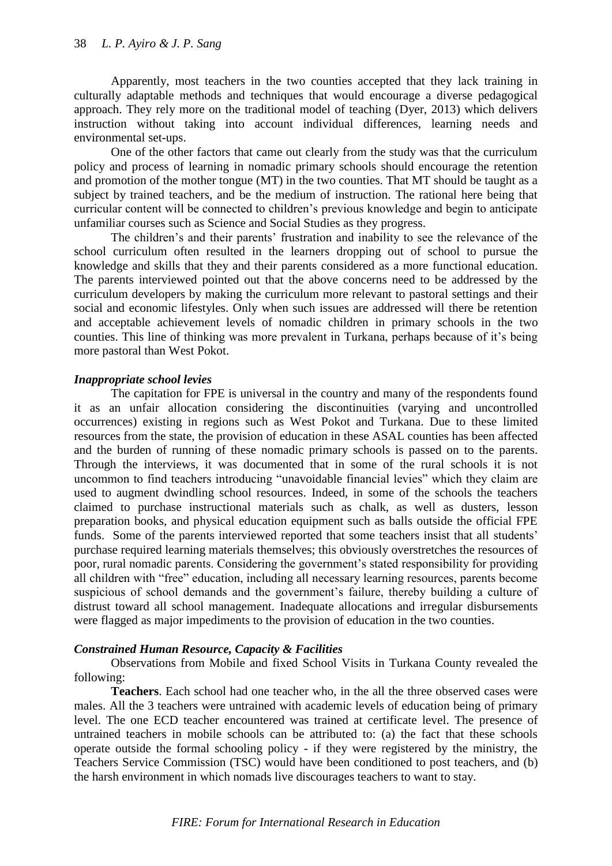Apparently, most teachers in the two counties accepted that they lack training in culturally adaptable methods and techniques that would encourage a diverse pedagogical approach. They rely more on the traditional model of teaching (Dyer, 2013) which delivers instruction without taking into account individual differences, learning needs and environmental set-ups.

One of the other factors that came out clearly from the study was that the curriculum policy and process of learning in nomadic primary schools should encourage the retention and promotion of the mother tongue (MT) in the two counties. That MT should be taught as a subject by trained teachers, and be the medium of instruction. The rational here being that curricular content will be connected to children's previous knowledge and begin to anticipate unfamiliar courses such as Science and Social Studies as they progress.

The children's and their parents' frustration and inability to see the relevance of the school curriculum often resulted in the learners dropping out of school to pursue the knowledge and skills that they and their parents considered as a more functional education. The parents interviewed pointed out that the above concerns need to be addressed by the curriculum developers by making the curriculum more relevant to pastoral settings and their social and economic lifestyles. Only when such issues are addressed will there be retention and acceptable achievement levels of nomadic children in primary schools in the two counties. This line of thinking was more prevalent in Turkana, perhaps because of it's being more pastoral than West Pokot.

# *Inappropriate school levies*

The capitation for FPE is universal in the country and many of the respondents found it as an unfair allocation considering the discontinuities (varying and uncontrolled occurrences) existing in regions such as West Pokot and Turkana. Due to these limited resources from the state, the provision of education in these ASAL counties has been affected and the burden of running of these nomadic primary schools is passed on to the parents. Through the interviews, it was documented that in some of the rural schools it is not uncommon to find teachers introducing "unavoidable financial levies" which they claim are used to augment dwindling school resources. Indeed, in some of the schools the teachers claimed to purchase instructional materials such as chalk, as well as dusters, lesson preparation books, and physical education equipment such as balls outside the official FPE funds. Some of the parents interviewed reported that some teachers insist that all students' purchase required learning materials themselves; this obviously overstretches the resources of poor, rural nomadic parents. Considering the government's stated responsibility for providing all children with "free" education, including all necessary learning resources, parents become suspicious of school demands and the government's failure, thereby building a culture of distrust toward all school management. Inadequate allocations and irregular disbursements were flagged as major impediments to the provision of education in the two counties.

# *Constrained Human Resource, Capacity & Facilities*

Observations from Mobile and fixed School Visits in Turkana County revealed the following:

**Teachers**. Each school had one teacher who, in the all the three observed cases were males. All the 3 teachers were untrained with academic levels of education being of primary level. The one ECD teacher encountered was trained at certificate level. The presence of untrained teachers in mobile schools can be attributed to: (a) the fact that these schools operate outside the formal schooling policy - if they were registered by the ministry, the Teachers Service Commission (TSC) would have been conditioned to post teachers, and (b) the harsh environment in which nomads live discourages teachers to want to stay.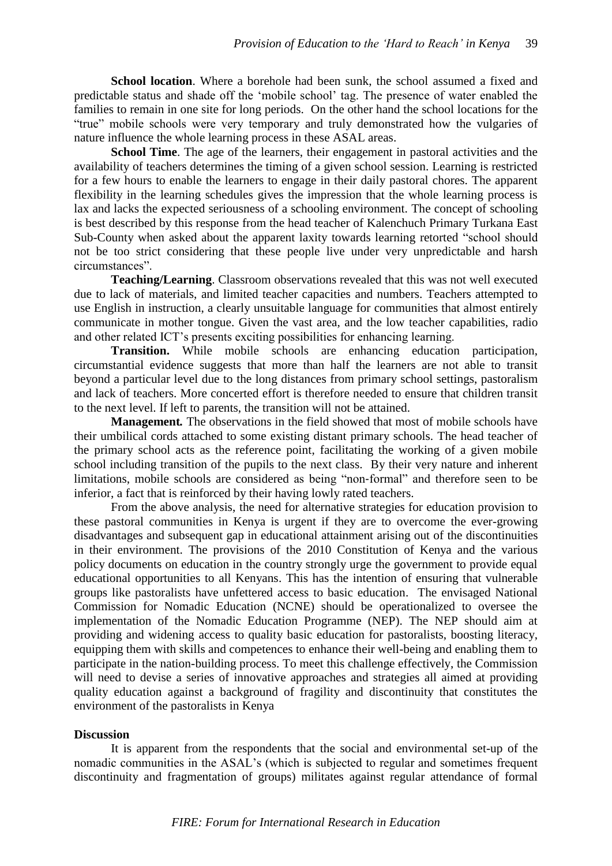**School location**. Where a borehole had been sunk, the school assumed a fixed and predictable status and shade off the 'mobile school' tag. The presence of water enabled the families to remain in one site for long periods. On the other hand the school locations for the "true" mobile schools were very temporary and truly demonstrated how the vulgaries of nature influence the whole learning process in these ASAL areas.

**School Time**. The age of the learners, their engagement in pastoral activities and the availability of teachers determines the timing of a given school session. Learning is restricted for a few hours to enable the learners to engage in their daily pastoral chores. The apparent flexibility in the learning schedules gives the impression that the whole learning process is lax and lacks the expected seriousness of a schooling environment. The concept of schooling is best described by this response from the head teacher of Kalenchuch Primary Turkana East Sub-County when asked about the apparent laxity towards learning retorted "school should not be too strict considering that these people live under very unpredictable and harsh circumstances".

**Teaching/Learning**. Classroom observations revealed that this was not well executed due to lack of materials, and limited teacher capacities and numbers. Teachers attempted to use English in instruction, a clearly unsuitable language for communities that almost entirely communicate in mother tongue. Given the vast area, and the low teacher capabilities, radio and other related ICT's presents exciting possibilities for enhancing learning.

**Transition.** While mobile schools are enhancing education participation, circumstantial evidence suggests that more than half the learners are not able to transit beyond a particular level due to the long distances from primary school settings, pastoralism and lack of teachers. More concerted effort is therefore needed to ensure that children transit to the next level. If left to parents, the transition will not be attained.

**Management***.* The observations in the field showed that most of mobile schools have their umbilical cords attached to some existing distant primary schools. The head teacher of the primary school acts as the reference point, facilitating the working of a given mobile school including transition of the pupils to the next class. By their very nature and inherent limitations, mobile schools are considered as being "non‐formal" and therefore seen to be inferior, a fact that is reinforced by their having lowly rated teachers.

From the above analysis, the need for alternative strategies for education provision to these pastoral communities in Kenya is urgent if they are to overcome the ever-growing disadvantages and subsequent gap in educational attainment arising out of the discontinuities in their environment. The provisions of the 2010 Constitution of Kenya and the various policy documents on education in the country strongly urge the government to provide equal educational opportunities to all Kenyans. This has the intention of ensuring that vulnerable groups like pastoralists have unfettered access to basic education. The envisaged National Commission for Nomadic Education (NCNE) should be operationalized to oversee the implementation of the Nomadic Education Programme (NEP). The NEP should aim at providing and widening access to quality basic education for pastoralists, boosting literacy, equipping them with skills and competences to enhance their well-being and enabling them to participate in the nation-building process. To meet this challenge effectively, the Commission will need to devise a series of innovative approaches and strategies all aimed at providing quality education against a background of fragility and discontinuity that constitutes the environment of the pastoralists in Kenya

# **Discussion**

It is apparent from the respondents that the social and environmental set-up of the nomadic communities in the ASAL's (which is subjected to regular and sometimes frequent discontinuity and fragmentation of groups) militates against regular attendance of formal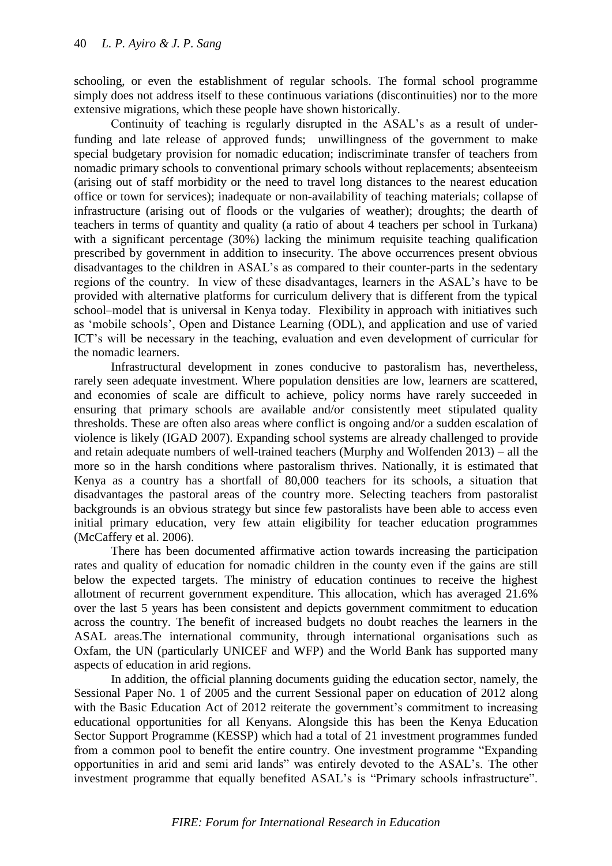schooling, or even the establishment of regular schools. The formal school programme simply does not address itself to these continuous variations (discontinuities) nor to the more extensive migrations, which these people have shown historically.

Continuity of teaching is regularly disrupted in the ASAL's as a result of underfunding and late release of approved funds; unwillingness of the government to make special budgetary provision for nomadic education; indiscriminate transfer of teachers from nomadic primary schools to conventional primary schools without replacements; absenteeism (arising out of staff morbidity or the need to travel long distances to the nearest education office or town for services); inadequate or non-availability of teaching materials; collapse of infrastructure (arising out of floods or the vulgaries of weather); droughts; the dearth of teachers in terms of quantity and quality (a ratio of about 4 teachers per school in Turkana) with a significant percentage (30%) lacking the minimum requisite teaching qualification prescribed by government in addition to insecurity. The above occurrences present obvious disadvantages to the children in ASAL's as compared to their counter-parts in the sedentary regions of the country. In view of these disadvantages, learners in the ASAL's have to be provided with alternative platforms for curriculum delivery that is different from the typical school–model that is universal in Kenya today. Flexibility in approach with initiatives such as 'mobile schools', Open and Distance Learning (ODL), and application and use of varied ICT's will be necessary in the teaching, evaluation and even development of curricular for the nomadic learners.

Infrastructural development in zones conducive to pastoralism has, nevertheless, rarely seen adequate investment. Where population densities are low, learners are scattered, and economies of scale are difficult to achieve, policy norms have rarely succeeded in ensuring that primary schools are available and/or consistently meet stipulated quality thresholds. These are often also areas where conflict is ongoing and/or a sudden escalation of violence is likely (IGAD 2007). Expanding school systems are already challenged to provide and retain adequate numbers of well-trained teachers (Murphy and Wolfenden 2013) – all the more so in the harsh conditions where pastoralism thrives. Nationally, it is estimated that Kenya as a country has a shortfall of 80,000 teachers for its schools, a situation that disadvantages the pastoral areas of the country more. Selecting teachers from pastoralist backgrounds is an obvious strategy but since few pastoralists have been able to access even initial primary education, very few attain eligibility for teacher education programmes (McCaffery et al. 2006).

There has been documented affirmative action towards increasing the participation rates and quality of education for nomadic children in the county even if the gains are still below the expected targets. The ministry of education continues to receive the highest allotment of recurrent government expenditure. This allocation, which has averaged 21.6% over the last 5 years has been consistent and depicts government commitment to education across the country. The benefit of increased budgets no doubt reaches the learners in the ASAL areas.The international community, through international organisations such as Oxfam, the UN (particularly UNICEF and WFP) and the World Bank has supported many aspects of education in arid regions.

In addition, the official planning documents guiding the education sector, namely, the Sessional Paper No. 1 of 2005 and the current Sessional paper on education of 2012 along with the Basic Education Act of 2012 reiterate the government's commitment to increasing educational opportunities for all Kenyans. Alongside this has been the Kenya Education Sector Support Programme (KESSP) which had a total of 21 investment programmes funded from a common pool to benefit the entire country. One investment programme "Expanding opportunities in arid and semi arid lands" was entirely devoted to the ASAL's. The other investment programme that equally benefited ASAL's is "Primary schools infrastructure".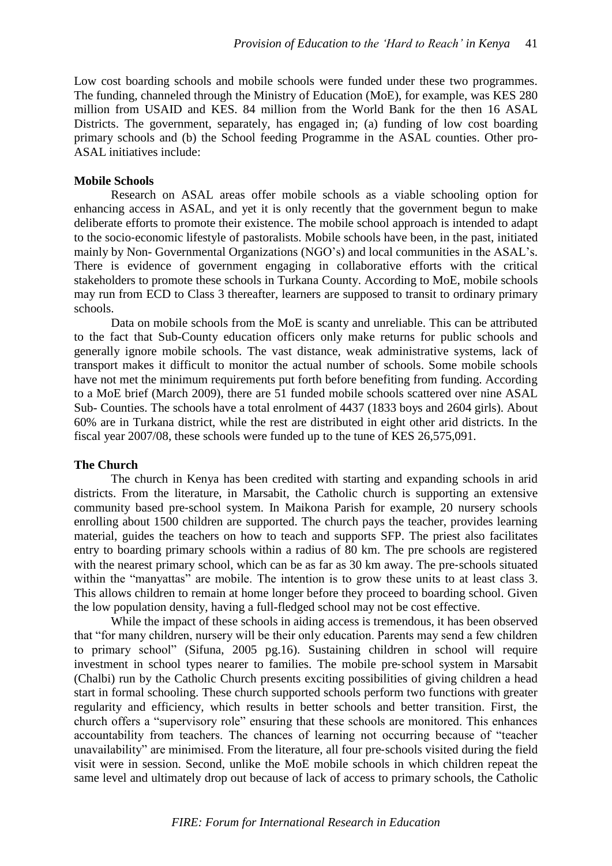Low cost boarding schools and mobile schools were funded under these two programmes. The funding, channeled through the Ministry of Education (MoE), for example, was KES 280 million from USAID and KES. 84 million from the World Bank for the then 16 ASAL Districts. The government, separately, has engaged in; (a) funding of low cost boarding primary schools and (b) the School feeding Programme in the ASAL counties. Other pro-ASAL initiatives include:

# **Mobile Schools**

Research on ASAL areas offer mobile schools as a viable schooling option for enhancing access in ASAL, and yet it is only recently that the government begun to make deliberate efforts to promote their existence. The mobile school approach is intended to adapt to the socio‐economic lifestyle of pastoralists. Mobile schools have been, in the past, initiated mainly by Non- Governmental Organizations (NGO's) and local communities in the ASAL's. There is evidence of government engaging in collaborative efforts with the critical stakeholders to promote these schools in Turkana County. According to MoE, mobile schools may run from ECD to Class 3 thereafter, learners are supposed to transit to ordinary primary schools.

Data on mobile schools from the MoE is scanty and unreliable. This can be attributed to the fact that Sub-County education officers only make returns for public schools and generally ignore mobile schools. The vast distance, weak administrative systems, lack of transport makes it difficult to monitor the actual number of schools. Some mobile schools have not met the minimum requirements put forth before benefiting from funding. According to a MoE brief (March 2009), there are 51 funded mobile schools scattered over nine ASAL Sub- Counties. The schools have a total enrolment of 4437 (1833 boys and 2604 girls). About 60% are in Turkana district, while the rest are distributed in eight other arid districts. In the fiscal year 2007/08, these schools were funded up to the tune of KES 26,575,091.

# **The Church**

The church in Kenya has been credited with starting and expanding schools in arid districts. From the literature, in Marsabit, the Catholic church is supporting an extensive community based pre‐school system. In Maikona Parish for example, 20 nursery schools enrolling about 1500 children are supported. The church pays the teacher, provides learning material, guides the teachers on how to teach and supports SFP. The priest also facilitates entry to boarding primary schools within a radius of 80 km. The pre schools are registered with the nearest primary school, which can be as far as 30 km away. The pre-schools situated within the "manyattas" are mobile. The intention is to grow these units to at least class 3. This allows children to remain at home longer before they proceed to boarding school. Given the low population density, having a full-fledged school may not be cost effective.

While the impact of these schools in aiding access is tremendous, it has been observed that "for many children, nursery will be their only education. Parents may send a few children to primary school" (Sifuna, 2005 pg.16). Sustaining children in school will require investment in school types nearer to families. The mobile pre‐school system in Marsabit (Chalbi) run by the Catholic Church presents exciting possibilities of giving children a head start in formal schooling. These church supported schools perform two functions with greater regularity and efficiency, which results in better schools and better transition. First, the church offers a "supervisory role" ensuring that these schools are monitored. This enhances accountability from teachers. The chances of learning not occurring because of "teacher unavailability" are minimised. From the literature, all four pre‐schools visited during the field visit were in session. Second, unlike the MoE mobile schools in which children repeat the same level and ultimately drop out because of lack of access to primary schools, the Catholic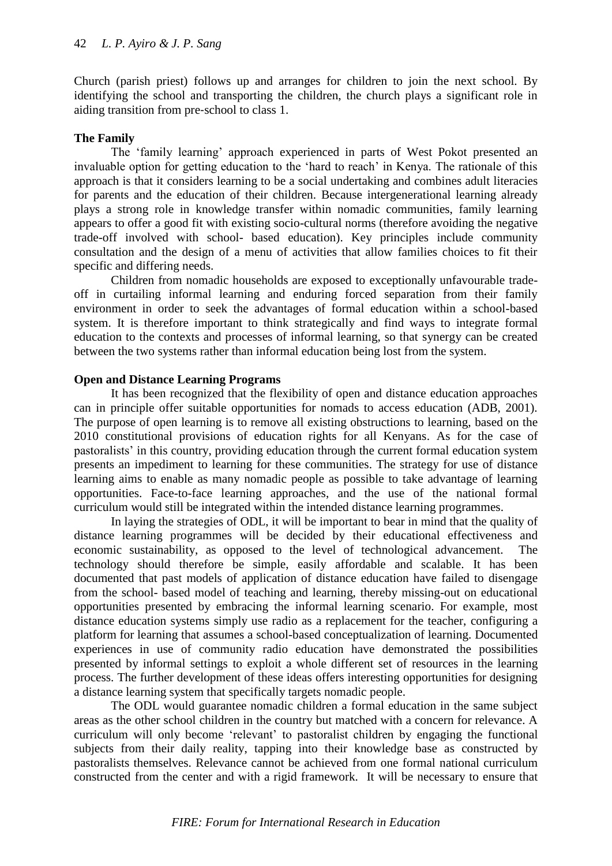Church (parish priest) follows up and arranges for children to join the next school. By identifying the school and transporting the children, the church plays a significant role in aiding transition from pre‐school to class 1.

# **The Family**

The 'family learning' approach experienced in parts of West Pokot presented an invaluable option for getting education to the 'hard to reach' in Kenya. The rationale of this approach is that it considers learning to be a social undertaking and combines adult literacies for parents and the education of their children. Because intergenerational learning already plays a strong role in knowledge transfer within nomadic communities, family learning appears to offer a good fit with existing socio-cultural norms (therefore avoiding the negative trade-off involved with school- based education). Key principles include community consultation and the design of a menu of activities that allow families choices to fit their specific and differing needs.

Children from nomadic households are exposed to exceptionally unfavourable tradeoff in curtailing informal learning and enduring forced separation from their family environment in order to seek the advantages of formal education within a school-based system. It is therefore important to think strategically and find ways to integrate formal education to the contexts and processes of informal learning, so that synergy can be created between the two systems rather than informal education being lost from the system.

# **Open and Distance Learning Programs**

It has been recognized that the flexibility of open and distance education approaches can in principle offer suitable opportunities for nomads to access education (ADB, 2001). The purpose of open learning is to remove all existing obstructions to learning, based on the 2010 constitutional provisions of education rights for all Kenyans. As for the case of pastoralists' in this country, providing education through the current formal education system presents an impediment to learning for these communities. The strategy for use of distance learning aims to enable as many nomadic people as possible to take advantage of learning opportunities. Face-to-face learning approaches, and the use of the national formal curriculum would still be integrated within the intended distance learning programmes.

In laying the strategies of ODL, it will be important to bear in mind that the quality of distance learning programmes will be decided by their educational effectiveness and economic sustainability, as opposed to the level of technological advancement. The technology should therefore be simple, easily affordable and scalable. It has been documented that past models of application of distance education have failed to disengage from the school- based model of teaching and learning, thereby missing-out on educational opportunities presented by embracing the informal learning scenario. For example, most distance education systems simply use radio as a replacement for the teacher, configuring a platform for learning that assumes a school-based conceptualization of learning. Documented experiences in use of community radio education have demonstrated the possibilities presented by informal settings to exploit a whole different set of resources in the learning process. The further development of these ideas offers interesting opportunities for designing a distance learning system that specifically targets nomadic people.

The ODL would guarantee nomadic children a formal education in the same subject areas as the other school children in the country but matched with a concern for relevance. A curriculum will only become 'relevant' to pastoralist children by engaging the functional subjects from their daily reality, tapping into their knowledge base as constructed by pastoralists themselves. Relevance cannot be achieved from one formal national curriculum constructed from the center and with a rigid framework. It will be necessary to ensure that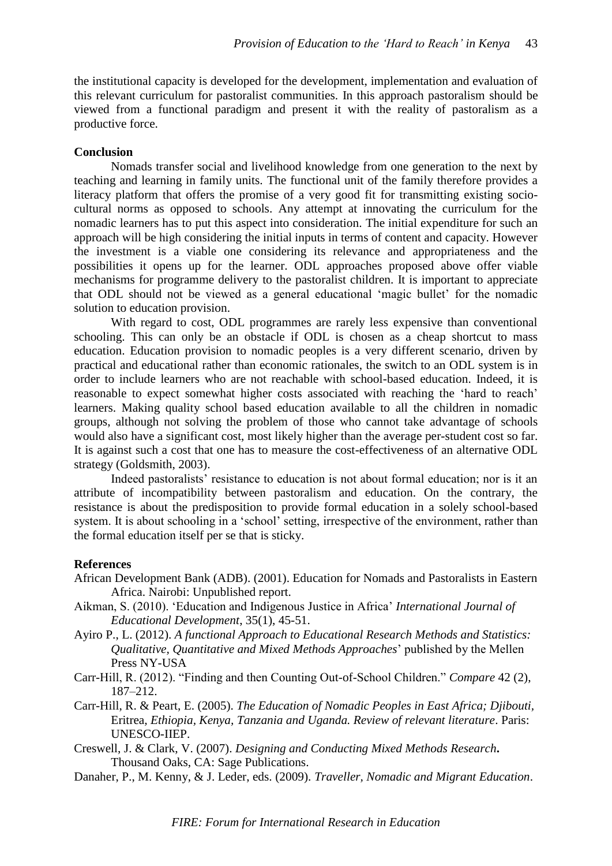the institutional capacity is developed for the development, implementation and evaluation of this relevant curriculum for pastoralist communities. In this approach pastoralism should be viewed from a functional paradigm and present it with the reality of pastoralism as a productive force.

# **Conclusion**

Nomads transfer social and livelihood knowledge from one generation to the next by teaching and learning in family units. The functional unit of the family therefore provides a literacy platform that offers the promise of a very good fit for transmitting existing sociocultural norms as opposed to schools. Any attempt at innovating the curriculum for the nomadic learners has to put this aspect into consideration. The initial expenditure for such an approach will be high considering the initial inputs in terms of content and capacity. However the investment is a viable one considering its relevance and appropriateness and the possibilities it opens up for the learner. ODL approaches proposed above offer viable mechanisms for programme delivery to the pastoralist children. It is important to appreciate that ODL should not be viewed as a general educational 'magic bullet' for the nomadic solution to education provision.

With regard to cost, ODL programmes are rarely less expensive than conventional schooling. This can only be an obstacle if ODL is chosen as a cheap shortcut to mass education. Education provision to nomadic peoples is a very different scenario, driven by practical and educational rather than economic rationales, the switch to an ODL system is in order to include learners who are not reachable with school-based education. Indeed, it is reasonable to expect somewhat higher costs associated with reaching the 'hard to reach' learners. Making quality school based education available to all the children in nomadic groups, although not solving the problem of those who cannot take advantage of schools would also have a significant cost, most likely higher than the average per-student cost so far. It is against such a cost that one has to measure the cost-effectiveness of an alternative ODL strategy (Goldsmith, 2003).

Indeed pastoralists' resistance to education is not about formal education; nor is it an attribute of incompatibility between pastoralism and education. On the contrary, the resistance is about the predisposition to provide formal education in a solely school-based system. It is about schooling in a 'school' setting, irrespective of the environment, rather than the formal education itself per se that is sticky.

# **References**

- African Development Bank (ADB). (2001). Education for Nomads and Pastoralists in Eastern Africa. Nairobi: Unpublished report.
- Aikman, S. (2010). 'Education and Indigenous Justice in Africa' *International Journal of Educational Development*, 35(1), 45-51.
- Ayiro P., L. (2012). *A functional Approach to Educational Research Methods and Statistics: Qualitative, Quantitative and Mixed Methods Approaches*' published by the Mellen Press NY-USA
- Carr-Hill, R. (2012). "Finding and then Counting Out-of-School Children." *Compare* 42 (2), 187–212.
- Carr-Hill, R. & Peart, E. (2005). *The Education of Nomadic Peoples in East Africa; Djibouti,*  Eritrea*, Ethiopia, Kenya, Tanzania and Uganda. Review of relevant literature*. Paris: UNESCO-IIEP.
- Creswell, J. & Clark, V. (2007). *Designing and Conducting Mixed Methods Research***.**  Thousand Oaks, CA: Sage Publications.
- Danaher, P., M. Kenny, & J. Leder, eds. (2009). *Traveller, Nomadic and Migrant Education*.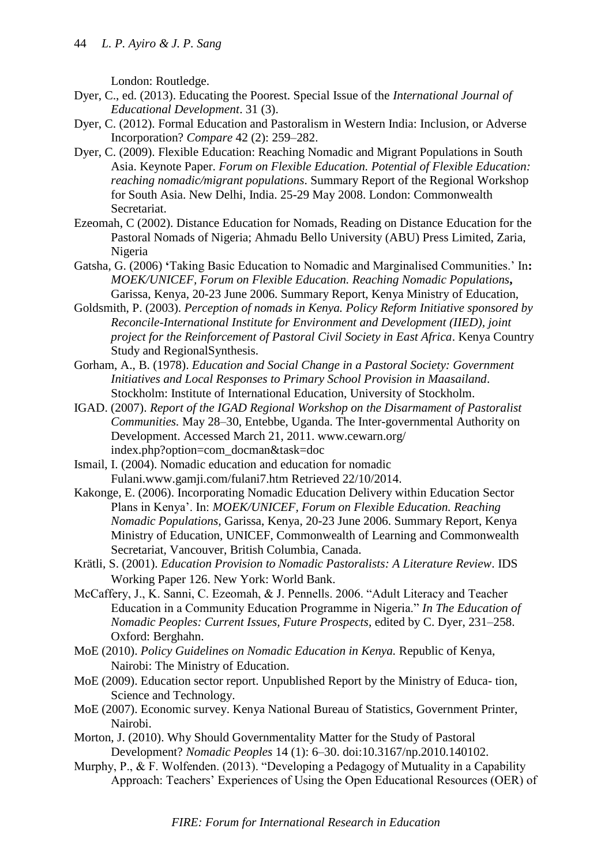London: Routledge.

- Dyer, C., ed. (2013). Educating the Poorest. Special Issue of the *International Journal of Educational Development*. 31 (3).
- Dyer, C. (2012). Formal Education and Pastoralism in Western India: Inclusion, or Adverse Incorporation? *Compare* 42 (2): 259–282.
- Dyer, C. (2009). Flexible Education: Reaching Nomadic and Migrant Populations in South Asia. Keynote Paper. *Forum on Flexible Education. Potential of Flexible Education: reaching nomadic/migrant populations*. Summary Report of the Regional Workshop for South Asia. New Delhi, India. 25-29 May 2008. London: Commonwealth Secretariat.
- Ezeomah, C (2002). Distance Education for Nomads, Reading on Distance Education for the Pastoral Nomads of Nigeria; Ahmadu Bello University (ABU) Press Limited, Zaria, Nigeria
- Gatsha, G. (2006) **'**Taking Basic Education to Nomadic and Marginalised Communities.' In**:**  *MOEK/UNICEF, Forum on Flexible Education. Reaching Nomadic Populations***,**  Garissa, Kenya, 20-23 June 2006. Summary Report, Kenya Ministry of Education,
- Goldsmith, P. (2003). *Perception of nomads in Kenya. Policy Reform Initiative sponsored by Reconcile-International Institute for Environment and Development (IIED), joint project for the Reinforcement of Pastoral Civil Society in East Africa*. Kenya Country Study and RegionalSynthesis.
- Gorham, A., B. (1978). *Education and Social Change in a Pastoral Society: Government Initiatives and Local Responses to Primary School Provision in Maasailand*. Stockholm: Institute of International Education, University of Stockholm.
- IGAD. (2007). *Report of the IGAD Regional Workshop on the Disarmament of Pastoralist Communities.* May 28–30, Entebbe, Uganda. The Inter-governmental Authority on Development. Accessed March 21, 2011. www.cewarn.org/ index.php?option=com\_docman&task=doc
- Ismail, I. (2004). Nomadic education and education for nomadic Fulani.www.gamji.com/fulani7.htm Retrieved 22/10/2014.
- Kakonge, E. (2006). Incorporating Nomadic Education Delivery within Education Sector Plans in Kenya'. In: *MOEK/UNICEF, Forum on Flexible Education. Reaching Nomadic Populations,* Garissa, Kenya, 20-23 June 2006. Summary Report, Kenya Ministry of Education, UNICEF, Commonwealth of Learning and Commonwealth Secretariat, Vancouver, British Columbia, Canada.
- Krätli, S. (2001). *Education Provision to Nomadic Pastoralists: A Literature Review*. IDS Working Paper 126. New York: World Bank.
- McCaffery, J., K. Sanni, C. Ezeomah, & J. Pennells. 2006. "Adult Literacy and Teacher Education in a Community Education Programme in Nigeria." *In The Education of Nomadic Peoples: Current Issues, Future Prospects*, edited by C. Dyer, 231–258. Oxford: Berghahn.
- MoE (2010). *Policy Guidelines on Nomadic Education in Kenya.* Republic of Kenya, Nairobi: The Ministry of Education.
- MoE (2009). Education sector report. Unpublished Report by the Ministry of Educa- tion, Science and Technology.
- MoE (2007). Economic survey. Kenya National Bureau of Statistics, Government Printer, Nairobi.
- Morton, J. (2010). Why Should Governmentality Matter for the Study of Pastoral Development? *Nomadic Peoples* 14 (1): 6–30. doi:10.3167/np.2010.140102.
- Murphy, P., & F. Wolfenden. (2013). "Developing a Pedagogy of Mutuality in a Capability Approach: Teachers' Experiences of Using the Open Educational Resources (OER) of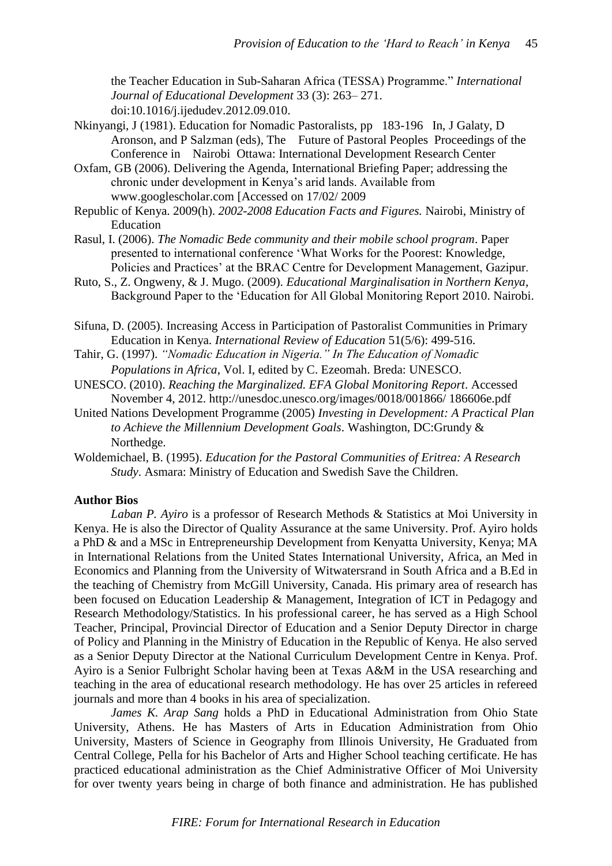the Teacher Education in Sub-Saharan Africa (TESSA) Programme." *International Journal of Educational Development* 33 (3): 263– 271. doi:10.1016/j.ijedudev.2012.09.010.

- Nkinyangi, J (1981). Education for Nomadic Pastoralists, pp 183-196 In, J Galaty, D Aronson, and P Salzman (eds), The Future of Pastoral Peoples Proceedings of the Conference in Nairobi Ottawa: International Development Research Center
- Oxfam, GB (2006). Delivering the Agenda, International Briefing Paper; addressing the chronic under development in Kenya's arid lands. Available from www.googlescholar.com [Accessed on 17/02/ 2009
- Republic of Kenya. 2009(h). *2002-2008 Education Facts and Figures.* Nairobi, Ministry of Education
- Rasul, I. (2006). *The Nomadic Bede community and their mobile school program*. Paper presented to international conference 'What Works for the Poorest: Knowledge, Policies and Practices' at the BRAC Centre for Development Management, Gazipur.
- Ruto, S., Z. Ongweny, & J. Mugo. (2009). *Educational Marginalisation in Northern Kenya*, Background Paper to the 'Education for All Global Monitoring Report 2010. Nairobi.
- Sifuna, D. (2005). Increasing Access in Participation of Pastoralist Communities in Primary Education in Kenya. *International Review of Education* 51(5/6): 499-516.
- Tahir, G. (1997). *"Nomadic Education in Nigeria." In The Education of Nomadic Populations in Africa*, Vol. I, edited by C. Ezeomah. Breda: UNESCO.
- UNESCO. (2010). *Reaching the Marginalized. EFA Global Monitoring Report*. Accessed November 4, 2012. http://unesdoc.unesco.org/images/0018/001866/ 186606e.pdf
- United Nations Development Programme (2005) *Investing in Development: A Practical Plan to Achieve the Millennium Development Goals*. Washington, DC:Grundy & Northedge.
- Woldemichael, B. (1995). *Education for the Pastoral Communities of Eritrea: A Research Study*. Asmara: Ministry of Education and Swedish Save the Children.

# **Author Bios**

*Laban P. Ayiro* is a professor of Research Methods & Statistics at Moi University in Kenya. He is also the Director of Quality Assurance at the same University. Prof. Ayiro holds a PhD & and a MSc in Entrepreneurship Development from Kenyatta University, Kenya; MA in International Relations from the United States International University, Africa, an Med in Economics and Planning from the University of Witwatersrand in South Africa and a B.Ed in the teaching of Chemistry from McGill University, Canada. His primary area of research has been focused on Education Leadership & Management, Integration of ICT in Pedagogy and Research Methodology/Statistics. In his professional career, he has served as a High School Teacher, Principal, Provincial Director of Education and a Senior Deputy Director in charge of Policy and Planning in the Ministry of Education in the Republic of Kenya. He also served as a Senior Deputy Director at the National Curriculum Development Centre in Kenya. Prof. Ayiro is a Senior Fulbright Scholar having been at Texas A&M in the USA researching and teaching in the area of educational research methodology. He has over 25 articles in refereed journals and more than 4 books in his area of specialization.

*James K. Arap Sang* holds a PhD in Educational Administration from Ohio State University, Athens. He has Masters of Arts in Education Administration from Ohio University, Masters of Science in Geography from Illinois University, He Graduated from Central College, Pella for his Bachelor of Arts and Higher School teaching certificate. He has practiced educational administration as the Chief Administrative Officer of Moi University for over twenty years being in charge of both finance and administration. He has published